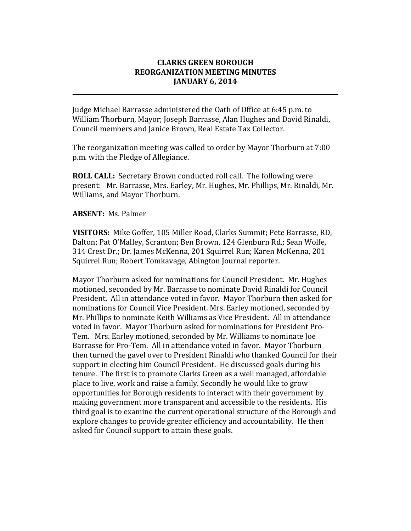## **CLARKS GREEN BOROUGH REORGANIZATION MEETING MINUTES JANUARY 6, 2014**

**\_\_\_\_\_\_\_\_\_\_\_\_\_\_\_\_\_\_\_\_\_\_\_\_\_\_\_\_\_\_\_\_\_\_\_\_\_\_\_\_\_\_\_\_\_\_\_\_\_\_\_\_\_\_\_\_\_\_\_\_\_\_\_\_\_\_\_\_\_\_\_\_\_\_\_\_\_\_\_\_\_\_\_\_\_\_\_\_\_**

Judge Michael Barrasse administered the Oath of Office at 6:45 p.m. to William Thorburn, Mayor; Joseph Barrasse, Alan Hughes and David Rinaldi, Council members and Janice Brown, Real Estate Tax Collector.

The reorganization meeting was called to order by Mayor Thorburn at 7:00 p.m. with the Pledge of Allegiance.

**ROLL CALL:** Secretary Brown conducted roll call. The following were present: Mr. Barrasse, Mrs. Earley, Mr. Hughes, Mr. Phillips, Mr. Rinaldi, Mr. Williams, and Mayor Thorburn.

## **ABSENT:** Ms. Palmer

**VISITORS:** Mike Goffer, 105 Miller Road, Clarks Summit; Pete Barrasse, RD, Dalton; Pat O'Malley, Scranton; Ben Brown, 124 Glenburn Rd.; Sean Wolfe, 314 Crest Dr.; Dr. James McKenna, 201 Squirrel Run; Karen McKenna, 201 Squirrel Run; Robert Tomkavage, Abington Journal reporter.

Mayor Thorburn asked for nominations for Council President. Mr. Hughes motioned, seconded by Mr. Barrasse to nominate David Rinaldi for Council President. All in attendance voted in favor. Mayor Thorburn then asked for nominations for Council Vice President. Mrs. Earley motioned, seconded by Mr. Phillips to nominate Keith Williams as Vice President. All in attendance voted in favor. Mayor Thorburn asked for nominations for President Pro-Tem. Mrs. Earley motioned, seconded by Mr. Williams to nominate Joe Barrasse for Pro-Tem. All in attendance voted in favor. Mayor Thorburn then turned the gavel over to President Rinaldi who thanked Council for their support in electing him Council President. He discussed goals during his tenure. The first is to promote Clarks Green as a well managed, affordable place to live, work and raise a family. Secondly he would like to grow opportunities for Borough residents to interact with their government by making government more transparent and accessible to the residents. His third goal is to examine the current operational structure of the Borough and explore changes to provide greater efficiency and accountability. He then asked for Council support to attain these goals.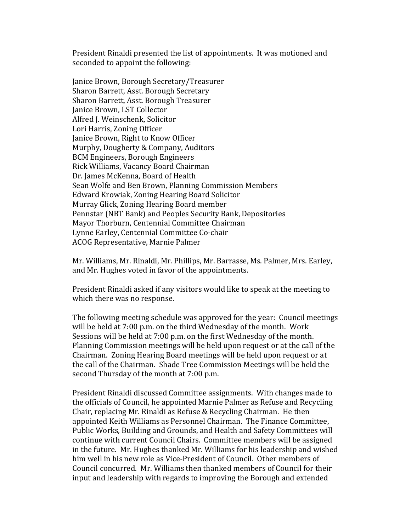President Rinaldi presented the list of appointments. It was motioned and seconded to appoint the following:

Janice Brown, Borough Secretary/Treasurer Sharon Barrett, Asst. Borough Secretary Sharon Barrett, Asst. Borough Treasurer Janice Brown, LST Collector Alfred J. Weinschenk, Solicitor Lori Harris, Zoning Officer Janice Brown, Right to Know Officer Murphy, Dougherty & Company, Auditors BCM Engineers, Borough Engineers Rick Williams, Vacancy Board Chairman Dr. James McKenna, Board of Health Sean Wolfe and Ben Brown, Planning Commission Members Edward Krowiak, Zoning Hearing Board Solicitor Murray Glick, Zoning Hearing Board member Pennstar (NBT Bank) and Peoples Security Bank, Depositories Mayor Thorburn, Centennial Committee Chairman Lynne Earley, Centennial Committee Co-chair ACOG Representative, Marnie Palmer

Mr. Williams, Mr. Rinaldi, Mr. Phillips, Mr. Barrasse, Ms. Palmer, Mrs. Earley, and Mr. Hughes voted in favor of the appointments.

President Rinaldi asked if any visitors would like to speak at the meeting to which there was no response.

The following meeting schedule was approved for the year: Council meetings will be held at 7:00 p.m. on the third Wednesday of the month. Work Sessions will be held at 7:00 p.m. on the first Wednesday of the month. Planning Commission meetings will be held upon request or at the call of the Chairman. Zoning Hearing Board meetings will be held upon request or at the call of the Chairman. Shade Tree Commission Meetings will be held the second Thursday of the month at 7:00 p.m.

President Rinaldi discussed Committee assignments. With changes made to the officials of Council, he appointed Marnie Palmer as Refuse and Recycling Chair, replacing Mr. Rinaldi as Refuse & Recycling Chairman. He then appointed Keith Williams as Personnel Chairman. The Finance Committee, Public Works, Building and Grounds, and Health and Safety Committees will continue with current Council Chairs. Committee members will be assigned in the future. Mr. Hughes thanked Mr. Williams for his leadership and wished him well in his new role as Vice-President of Council. Other members of Council concurred. Mr. Williams then thanked members of Council for their input and leadership with regards to improving the Borough and extended